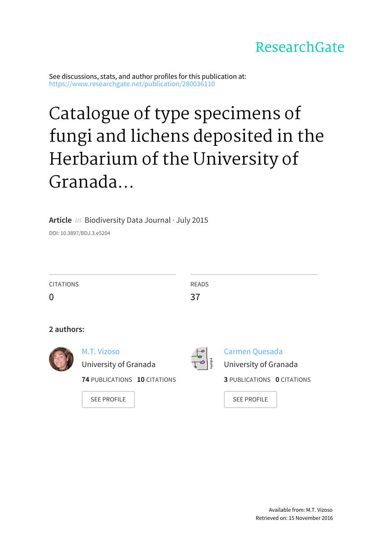## ResearchGate

See discussions, stats, and author profiles for this publication at: [https://www.researchgate.net/publication/280036110](https://www.researchgate.net/publication/280036110_Catalogue_of_type_specimens_of_fungi_and_lichens_deposited_in_the_Herbarium_of_the_University_of_Granada_Spain?enrichId=rgreq-0d8586da2565f8464738e488d2d3bbb7-XXX&enrichSource=Y292ZXJQYWdlOzI4MDAzNjExMDtBUzoyNTEwMzA1MTIzMzY4OTlAMTQzNjg2MTc0NjU2NA%3D%3D&el=1_x_2)

# Catalogue of type specimens of fungi and lichens deposited in the Herbarium of the University of Granada...

**Article** in Biodiversity Data Journal · July 2015

DOI: 10.3897/BDJ.3.e5204

| <b>CITATIONS</b><br>0 |                                                                                                   | <b>READS</b><br>37 |                                                                                                    |
|-----------------------|---------------------------------------------------------------------------------------------------|--------------------|----------------------------------------------------------------------------------------------------|
| 2 authors:            |                                                                                                   |                    |                                                                                                    |
|                       | M.T. Vizoso<br>University of Granada<br><b>74 PUBLICATIONS 10 CITATIONS</b><br><b>SEE PROFILE</b> | pinburbo           | Carmen Quesada<br>University of Granada<br><b>3 PUBLICATIONS 0 CITATIONS</b><br><b>SEE PROFILE</b> |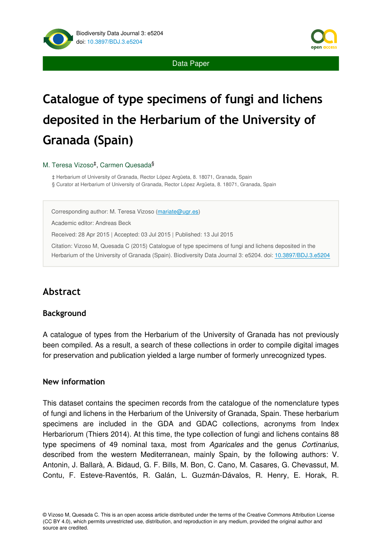

Data Paper

## **Catalogue of type specimens of fungi and lichens deposited in the Herbarium of the University of Granada (Spain)**

#### M. Teresa Vizoso<sup>‡</sup>, Carmen Quesada<sup>§</sup>

‡ Herbarium of University of Granada, Rector López Argüeta, 8. 18071, Granada, Spain § Curator at Herbarium of University of Granada, Rector López Argüeta, 8. 18071, Granada, Spain

Corresponding author: M. Teresa Vizoso [\(mariate@ugr.es](mailto:mariate@ugr.es?subject=Your%20manuscript%20in%20PWT%20#4106/BDJ%20#5204))

Academic editor: Andreas Beck

Received: 28 Apr 2015 | Accepted: 03 Jul 2015 | Published: 13 Jul 2015

Citation: Vizoso M, Quesada C (2015) Catalogue of type specimens of fungi and lichens deposited in the Herbarium of the University of Granada (Spain). Biodiversity Data Journal 3: e5204. doi: [10.3897/BDJ.3.e5204](http://dx.doi.org/10.3897/BDJ.3.e5204)

## **Abstract**

#### **Background**

A catalogue of types from the Herbarium of the University of Granada has not previously been compiled. As a result, a search of these collections in order to compile digital images for preservation and publication yielded a large number of formerly unrecognized types.

#### **New information**

This dataset contains the specimen records from the catalogue of the nomenclature types of fungi and lichens in the Herbarium of the University of Granada, Spain. These herbarium specimens are included in the GDA and GDAC collections, acronyms from Index Herbariorum (Thiers 2014). At this time, the type collection of fungi and lichens contains 88 type specimens of 49 nominal taxa, most from *Agaricales* and the genus *Cortinarius*, described from the western Mediterranean, mainly Spain, by the following authors: V. Antonin, J. Ballarà, A. Bidaud, G. F. Bills, M. Bon, C. Cano, M. Casares, G. Chevassut, M. Contu, F. Esteve-Raventós, R. Galán, L. Guzmán-Dávalos, R. Henry, E. Horak, R.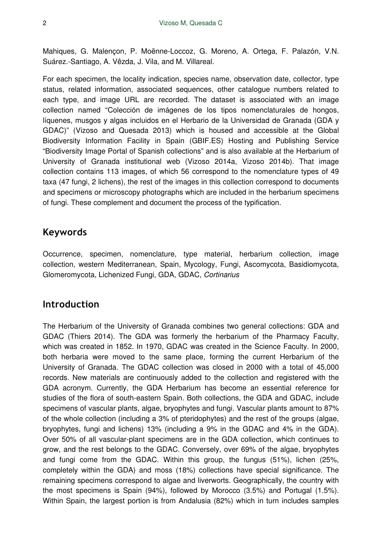Mahiques, G. Malençon, P. Moënne-Loccoz, G. Moreno, A. Ortega, F. Palazón, V.N. Suárez.-Santiago, A. Vêzda, J. Vila, and M. Villareal.

For each specimen, the locality indication, species name, observation date, collector, type status, related information, associated sequences, other catalogue numbers related to each type, and image URL are recorded. The dataset is associated with an image collection named "Colección de imágenes de los tipos nomenclaturales de hongos, líquenes, musgos y algas incluidos en el Herbario de la Universidad de Granada (GDA y GDAC)" (Vizoso and Quesada 2013) which is housed and accessible at the Global Biodiversity Information Facility in Spain (GBIF.ES) Hosting and Publishing Service "Biodiversity Image Portal of Spanish collections" and is also available at the Herbarium of University of Granada institutional web (Vizoso 2014a, Vizoso 2014b). That image collection contains 113 images, of which 56 correspond to the nomenclature types of 49 taxa (47 fungi, 2 lichens), the rest of the images in this collection correspond to documents and specimens or microscopy photographs which are included in the herbarium specimens of fungi. These complement and document the process of the typification.

## **Keywords**

Occurrence, specimen, nomenclature, type material, herbarium collection, image collection, western Mediterranean, Spain, Mycology, Fungi, Ascomycota, Basidiomycota, Glomeromycota, Lichenized Fungi, GDA, GDAC, *Cortinarius*

## **Introduction**

The Herbarium of the University of Granada combines two general collections: GDA and GDAC (Thiers 2014). The GDA was formerly the herbarium of the Pharmacy Faculty, which was created in 1852. In 1970, GDAC was created in the Science Faculty. In 2000, both herbaria were moved to the same place, forming the current Herbarium of the University of Granada. The GDAC collection was closed in 2000 with a total of 45,000 records. New materials are continuously added to the collection and registered with the GDA acronym. Currently, the GDA Herbarium has become an essential reference for studies of the flora of south-eastern Spain. Both collections, the GDA and GDAC, include specimens of vascular plants, algae, bryophytes and fungi. Vascular plants amount to 87% of the whole collection (including a 3% of pteridophytes) and the rest of the groups (algae, bryophytes, fungi and lichens) 13% (including a 9% in the GDAC and 4% in the GDA). Over 50% of all vascular-plant specimens are in the GDA collection, which continues to grow, and the rest belongs to the GDAC. Conversely, over 69% of the algae, bryophytes and fungi come from the GDAC. Within this group, the fungus (51%), lichen (25%, completely within the GDA) and moss (18%) collections have special significance. The remaining specimens correspond to algae and liverworts. Geographically, the country with the most specimens is Spain (94%), followed by Morocco (3.5%) and Portugal (1.5%). Within Spain, the largest portion is from Andalusia (82%) which in turn includes samples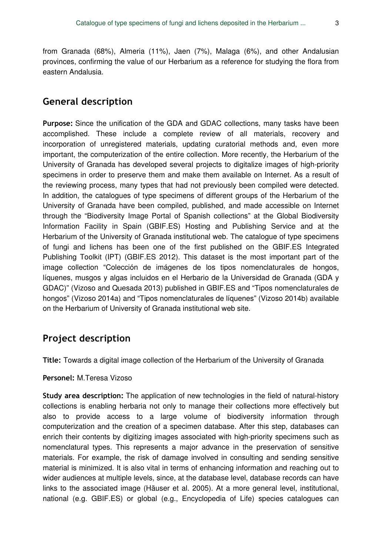from Granada (68%), Almeria (11%), Jaen (7%), Malaga (6%), and other Andalusian provinces, confirming the value of our Herbarium as a reference for studying the flora from eastern Andalusia.

## **General description**

**Purpose:** Since the unification of the GDA and GDAC collections, many tasks have been accomplished. These include a complete review of all materials, recovery and incorporation of unregistered materials, updating curatorial methods and, even more important, the computerization of the entire collection. More recently, the Herbarium of the University of Granada has developed several projects to digitalize images of high-priority specimens in order to preserve them and make them available on Internet. As a result of the reviewing process, many types that had not previously been compiled were detected. In addition, the catalogues of type specimens of different groups of the Herbarium of the University of Granada have been compiled, published, and made accessible on Internet through the "Biodiversity Image Portal of Spanish collections" at the Global Biodiversity Information Facility in Spain (GBIF.ES) Hosting and Publishing Service and at the Herbarium of the University of Granada institutional web. The catalogue of type specimens of fungi and lichens has been one of the first published on the GBIF.ES Integrated Publishing Toolkit (IPT) (GBIF.ES 2012). This dataset is the most important part of the image collection "Colección de imágenes de los tipos nomenclaturales de hongos, líquenes, musgos y algas incluidos en el Herbario de la Universidad de Granada (GDA y GDAC)" (Vizoso and Quesada 2013) published in GBIF.ES and "Tipos nomenclaturales de hongos" (Vizoso 2014a) and "Tipos nomenclaturales de líquenes" (Vizoso 2014b) available on the Herbarium of University of Granada institutional web site.

## **Project description**

**Title:** Towards a digital image collection of the Herbarium of the University of Granada

#### **Personel:** M.Teresa Vizoso

**Study area description:** The application of new technologies in the field of natural-history collections is enabling herbaria not only to manage their collections more effectively but also to provide access to a large volume of biodiversity information through computerization and the creation of a specimen database. After this step, databases can enrich their contents by digitizing images associated with high-priority specimens such as nomenclatural types. This represents a major advance in the preservation of sensitive materials. For example, the risk of damage involved in consulting and sending sensitive material is minimized. It is also vital in terms of enhancing information and reaching out to wider audiences at multiple levels, since, at the database level, database records can have links to the associated image (Häuser et al. 2005). At a more general level, institutional, national (e.g. GBIF.ES) or global (e.g., Encyclopedia of Life) species catalogues can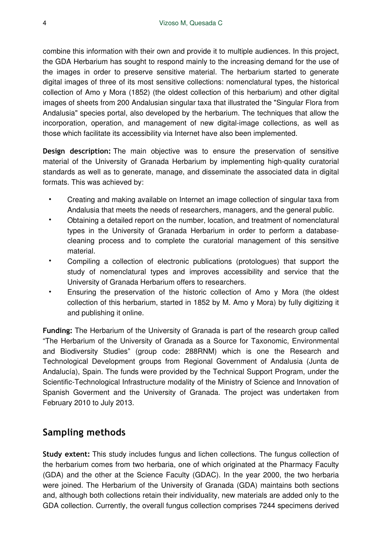combine this information with their own and provide it to multiple audiences. In this project, the GDA Herbarium has sought to respond mainly to the increasing demand for the use of the images in order to preserve sensitive material. The herbarium started to generate digital images of three of its most sensitive collections: nomenclatural types, the historical collection of Amo y Mora (1852) (the oldest collection of this herbarium) and other digital images of sheets from 200 Andalusian singular taxa that illustrated the "Singular Flora from Andalusia" species portal, also developed by the herbarium. The techniques that allow the incorporation, operation, and management of new digital-image collections, as well as those which facilitate its accessibility via Internet have also been implemented.

**Design description:** The main objective was to ensure the preservation of sensitive material of the University of Granada Herbarium by implementing high-quality curatorial standards as well as to generate, manage, and disseminate the associated data in digital formats. This was achieved by:

- Creating and making available on Internet an image collection of singular taxa from Andalusia that meets the needs of researchers, managers, and the general public.
- Obtaining a detailed report on the number, location, and treatment of nomenclatural types in the University of Granada Herbarium in order to perform a databasecleaning process and to complete the curatorial management of this sensitive material.
- Compiling a collection of electronic publications (protologues) that support the study of nomenclatural types and improves accessibility and service that the University of Granada Herbarium offers to researchers.
- Ensuring the preservation of the historic collection of Amo y Mora (the oldest collection of this herbarium, started in 1852 by M. Amo y Mora) by fully digitizing it and publishing it online.

**Funding:** The Herbarium of the University of Granada is part of the research group called "The Herbarium of the University of Granada as a Source for Taxonomic, Environmental and Biodiversity Studies" (group code: 288RNM) which is one the Research and Technological Development groups from Regional Government of Andalusia (Junta de Andalucía), Spain. The funds were provided by the Technical Support Program, under the Scientific-Technological Infrastructure modality of the Ministry of Science and Innovation of Spanish Goverment and the University of Granada. The project was undertaken from February 2010 to July 2013.

## **Sampling methods**

**Study extent:** This study includes fungus and lichen collections. The fungus collection of the herbarium comes from two herbaria, one of which originated at the Pharmacy Faculty (GDA) and the other at the Science Faculty (GDAC). In the year 2000, the two herbaria were joined. The Herbarium of the University of Granada (GDA) maintains both sections and, although both collections retain their individuality, new materials are added only to the GDA collection. Currently, the overall fungus collection comprises 7244 specimens derived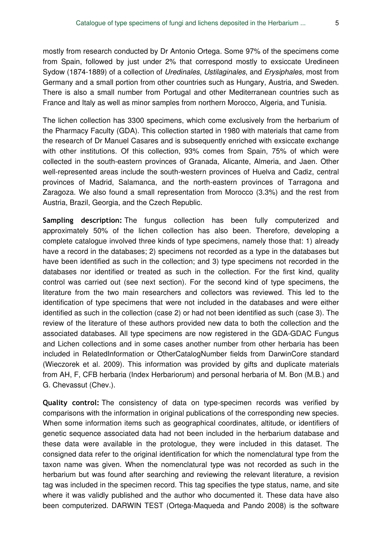mostly from research conducted by Dr Antonio Ortega. Some 97% of the specimens come from Spain, followed by just under 2% that correspond mostly to exsiccate Uredineen Sydow (1874-1889) of a collection of *Uredinales*, *Ustilaginales*, and *Erysiphales*, most from Germany and a small portion from other countries such as Hungary, Austria, and Sweden. There is also a small number from Portugal and other Mediterranean countries such as France and Italy as well as minor samples from northern Morocco, Algeria, and Tunisia.

The lichen collection has 3300 specimens, which come exclusively from the herbarium of the Pharmacy Faculty (GDA). This collection started in 1980 with materials that came from the research of Dr Manuel Casares and is subsequently enriched with exsiccate exchange with other institutions. Of this collection, 93% comes from Spain, 75% of which were collected in the south-eastern provinces of Granada, Alicante, Almeria, and Jaen. Other well-represented areas include the south-western provinces of Huelva and Cadiz, central provinces of Madrid, Salamanca, and the north-eastern provinces of Tarragona and Zaragoza. We also found a small representation from Morocco (3.3%) and the rest from Austria, Brazil, Georgia, and the Czech Republic.

**Sampling description:** The fungus collection has been fully computerized and approximately 50% of the lichen collection has also been. Therefore, developing a complete catalogue involved three kinds of type specimens, namely those that: 1) already have a record in the databases; 2) specimens not recorded as a type in the databases but have been identified as such in the collection; and 3) type specimens not recorded in the databases nor identified or treated as such in the collection. For the first kind, quality control was carried out (see next section). For the second kind of type specimens, the literature from the two main researchers and collectors was reviewed. This led to the identification of type specimens that were not included in the databases and were either identified as such in the collection (case 2) or had not been identified as such (case 3). The review of the literature of these authors provided new data to both the collection and the associated databases. All type specimens are now registered in the GDA-GDAC Fungus and Lichen collections and in some cases another number from other herbaria has been included in RelatedInformation or OtherCatalogNumber fields from DarwinCore standard (Wieczorek et al. 2009). This information was provided by gifts and duplicate materials from AH, F, CFB herbaria (Index Herbariorum) and personal herbaria of M. Bon (M.B.) and G. Chevassut (Chev.).

**Quality control:** The consistency of data on type-specimen records was verified by comparisons with the information in original publications of the corresponding new species. When some information items such as geographical coordinates, altitude, or identifiers of genetic sequence associated data had not been included in the herbarium database and these data were available in the protologue, they were included in this dataset. The consigned data refer to the original identification for which the nomenclatural type from the taxon name was given. When the nomenclatural type was not recorded as such in the herbarium but was found after searching and reviewing the relevant literature, a revision tag was included in the specimen record. This tag specifies the type status, name, and site where it was validly published and the author who documented it. These data have also been computerized. DARWIN TEST (Ortega-Maqueda and Pando 2008) is the software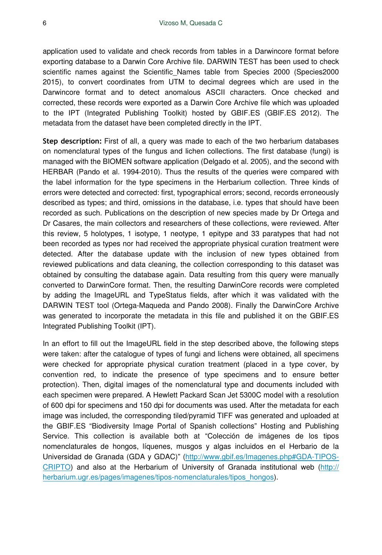application used to validate and check records from tables in a Darwincore format before exporting database to a Darwin Core Archive file. DARWIN TEST has been used to check scientific names against the Scientific Names table from Species 2000 (Species2000 2015), to convert coordinates from UTM to decimal degrees which are used in the Darwincore format and to detect anomalous ASCII characters. Once checked and corrected, these records were exported as a Darwin Core Archive file which was uploaded to the IPT (Integrated Publishing Toolkit) hosted by GBIF.ES (GBIF.ES 2012). The metadata from the dataset have been completed directly in the IPT.

**Step description:** First of all, a query was made to each of the two herbarium databases on nomenclatural types of the fungus and lichen collections. The first database (fungi) is managed with the BIOMEN software application (Delgado et al. 2005), and the second with HERBAR (Pando et al. 1994-2010). Thus the results of the queries were compared with the label information for the type specimens in the Herbarium collection. Three kinds of errors were detected and corrected: first, typographical errors; second, records erroneously described as types; and third, omissions in the database, i.e. types that should have been recorded as such. Publications on the description of new species made by Dr Ortega and Dr Casares, the main collectors and researchers of these collections, were reviewed. After this review, 5 holotypes, 1 isotype, 1 neotype, 1 epitype and 33 paratypes that had not been recorded as types nor had received the appropriate physical curation treatment were detected. After the database update with the inclusion of new types obtained from reviewed publications and data cleaning, the collection corresponding to this dataset was obtained by consulting the database again. Data resulting from this query were manually converted to DarwinCore format. Then, the resulting DarwinCore records were completed by adding the ImageURL and TypeStatus fields, after which it was validated with the DARWIN TEST tool (Ortega-Maqueda and Pando 2008). Finally the DarwinCore Archive was generated to incorporate the metadata in this file and published it on the GBIF.ES Integrated Publishing Toolkit (IPT).

In an effort to fill out the ImageURL field in the step described above, the following steps were taken: after the catalogue of types of fungi and lichens were obtained, all specimens were checked for appropriate physical curation treatment (placed in a type cover, by convention red, to indicate the presence of type specimens and to ensure better protection). Then, digital images of the nomenclatural type and documents included with each specimen were prepared. A Hewlett Packard Scan Jet 5300C model with a resolution of 600 dpi for specimens and 150 dpi for documents was used. After the metadata for each image was included, the corresponding tiled/pyramid TIFF was generated and uploaded at the GBIF.ES "Biodiversity Image Portal of Spanish collections" Hosting and Publishing Service. This collection is available both at "Colección de imágenes de los tipos nomenclaturales de hongos, líquenes, musgos y algas incluidos en el Herbario de la Universidad de Granada (GDA y GDAC)" [\(http://www.gbif.es/Imagenes.php#GDA-TIPOS-](http://www.gbif.es/Imagenes.php#GDA-TIPOS-CRIPTO)[CRIPTO](http://www.gbif.es/Imagenes.php#GDA-TIPOS-CRIPTO)) and also at the Herbarium of University of Granada institutional web ([http://](http://herbarium.ugr.es/pages/imagenes/tipos-nomenclaturales/tipos_hongos) [herbarium.ugr.es/pages/imagenes/tipos-nomenclaturales/tipos\\_hongos\)](http://herbarium.ugr.es/pages/imagenes/tipos-nomenclaturales/tipos_hongos).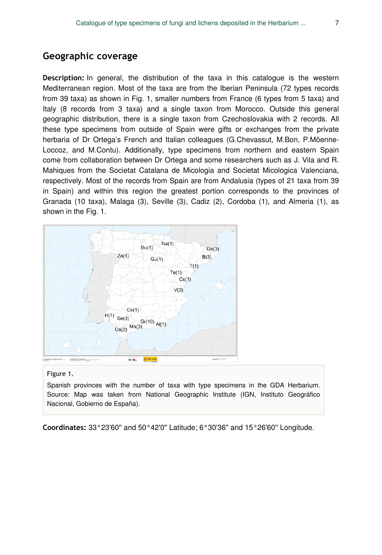## **Geographic coverage**

**Description:** In general, the distribution of the taxa in this catalogue is the western Mediterranean region. Most of the taxa are from the Iberian Peninsula (72 types records from 39 taxa) as shown in Fig. 1, smaller numbers from France (6 types from 5 taxa) and Italy (8 records from 3 taxa) and a single taxon from Morocco. Outside this general geographic distribution, there is a single taxon from Czechoslovakia with 2 records. All these type specimens from outside of Spain were gifts or exchanges from the private herbaria of Dr Ortega's French and Italian colleagues (G.Chevassut, M.Bon, P.Möenne-Loccoz, and M.Contu). Additionally, type specimens from northern and eastern Spain come from collaboration between Dr Ortega and some researchers such as J. Vila and R. Mahiques from the Societat Catalana de Micologia and Societat Micologica Valenciana, respectively. Most of the records from Spain are from Andalusia (types of 21 taxa from 39 in Spain) and within this region the greatest portion corresponds to the provinces of Granada (10 taxa), Malaga (3), Seville (3), Cadiz (2), Cordoba (1), and Almeria (1), as shown in the Fig. 1.



#### Figure 1.

Spanish provinces with the number of taxa with type specimens in the GDA Herbarium. Source: Map was taken from National Geographic Institute (IGN, Instituto Geográfico Nacional, Gobierno de España).

**Coordinates:** 33°23'60'' and 50°42'0'' Latitude; 6°30'36'' and 15°26'60'' Longitude.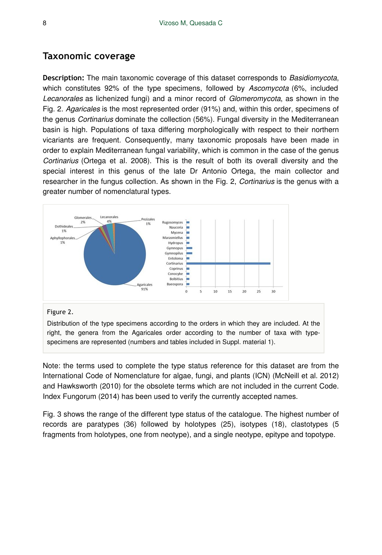## **Taxonomic coverage**

**Description:** The main taxonomic coverage of this dataset corresponds to *Basidiomycota*, which constitutes 92% of the type specimens, followed by *Ascomycota* (6%, included *Lecanorales* as lichenized fungi) and a minor record of *Glomeromycota*, as shown in the Fig. 2. *Agaricales* is the most represented order (91%) and, within this order, specimens of the genus *Cortinarius* dominate the collection (56%). Fungal diversity in the Mediterranean basin is high. Populations of taxa differing morphologically with respect to their northern vicariants are frequent. Consequently, many taxonomic proposals have been made in order to explain Mediterranean fungal variability, which is common in the case of the genus *Cortinarius* (Ortega et al. 2008). This is the result of both its overall diversity and the special interest in this genus of the late Dr Antonio Ortega, the main collector and researcher in the fungus collection. As shown in the Fig. 2, *Cortinarius* is the genus with a greater number of nomenclatural types.



Distribution of the type specimens according to the orders in which they are included. At the right, the genera from the Agaricales order according to the number of taxa with typespecimens are represented (numbers and tables included in Suppl. material 1).

Note: the terms used to complete the type status reference for this dataset are from the International Code of Nomenclature for algae, fungi, and plants (ICN) (McNeill et al. 2012) and Hawksworth (2010) for the obsolete terms which are not included in the current Code. Index Fungorum (2014) has been used to verify the currently accepted names.

Fig. 3 shows the range of the different type status of the catalogue. The highest number of records are paratypes (36) followed by holotypes (25), isotypes (18), clastotypes (5 fragments from holotypes, one from neotype), and a single neotype, epitype and topotype.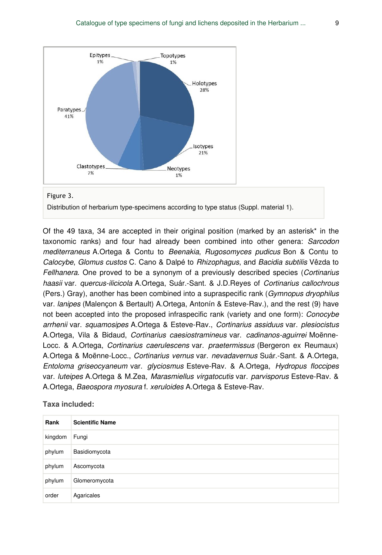

#### Distribution of herbarium type-specimens according to type status (Suppl. material 1).

Of the 49 taxa, 34 are accepted in their original position (marked by an asterisk\* in the taxonomic ranks) and four had already been combined into other genera: *Sarcodon mediterraneus* A.Ortega & Contu to *Beenakia*, *Rugosomyces pudicus* Bon & Contu to *Calocybe*, *Glomus custos* C. Cano & Dalpé to *Rhizophagus*, and *Bacidia subtilis* Vêzda to *Fellhanera*. One proved to be a synonym of a previously described species (*Cortinarius haasii* var. *quercus-ilicicola* A.Ortega, Suár.-Sant. & J.D.Reyes of *Cortinarius callochrous* (Pers.) Gray), another has been combined into a supraspecific rank (*Gymnopus dryophilus* var. *lanipes* (Malençon & Bertault) A.Ortega, Antonín & Esteve-Rav.), and the rest (9) have not been accepted into the proposed infraspecific rank (variety and one form): *Conocybe arrhenii* var. *squamosipes* A.Ortega & Esteve-Rav., *Cortinarius assiduus* var. *plesiocistus* A.Ortega, Vila & Bidaud, *Cortinarius caesiostramineus* var. *cadinanos-aguirrei* Moënne-Locc. & A.Ortega, *Cortinarius caerulescens* var. *praetermissus* (Bergeron ex Reumaux) A.Ortega & Moënne-Locc., *Cortinarius vernus* var. *nevadavernus* Suár.-Sant. & A.Ortega, *Entoloma griseocyaneum* var. *glyciosmus* Esteve-Rav. & A.Ortega, *Hydropus floccipes* var. *luteipes* A.Ortega & M.Zea, *Marasmiellus virgatocutis* var. *parvisporus* Esteve-Rav. & A.Ortega, *Baeospora myosura* f. *xeruloides* A.Ortega & Esteve-Rav.

#### **Taxa included:**

| Rank    | <b>Scientific Name</b> |
|---------|------------------------|
| kingdom | Fungi                  |
| phylum  | Basidiomycota          |
| phylum  | Ascomycota             |
| phylum  | Glomeromycota          |
| order   | Agaricales             |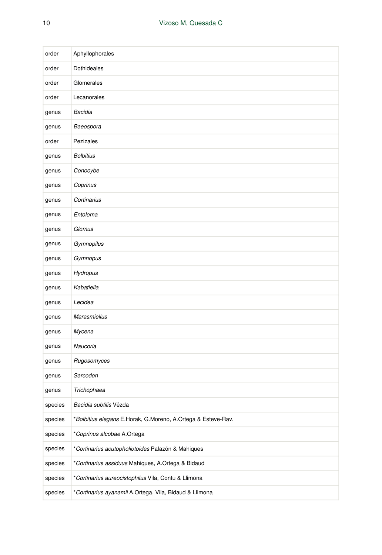| order   | Aphyllophorales                                              |
|---------|--------------------------------------------------------------|
| order   | Dothideales                                                  |
| order   | Glomerales                                                   |
| order   | Lecanorales                                                  |
| genus   | Bacidia                                                      |
| genus   | Baeospora                                                    |
| order   | Pezizales                                                    |
| genus   | <b>Bolbitius</b>                                             |
| genus   | Conocybe                                                     |
| genus   | Coprinus                                                     |
| genus   | Cortinarius                                                  |
| genus   | Entoloma                                                     |
| genus   | Glomus                                                       |
| genus   | Gymnopilus                                                   |
| genus   | Gymnopus                                                     |
| genus   | Hydropus                                                     |
| genus   | Kabatiella                                                   |
| genus   | Lecidea                                                      |
| genus   | Marasmiellus                                                 |
| genus   | Mycena                                                       |
| genus   | Naucoria                                                     |
| genus   | Rugosomyces                                                  |
| genus   | Sarcodon                                                     |
| genus   | Trichophaea                                                  |
| species | Bacidia subtilis Vêzda                                       |
| species | *Bolbitius elegans E.Horak, G.Moreno, A.Ortega & Esteve-Rav. |
| species | *Coprinus alcobae A.Ortega                                   |
| species | *Cortinarius acutopholiotoides Palazón & Mahiques            |
| species | *Cortinarius assiduus Mahiques, A.Ortega & Bidaud            |
| species | *Cortinarius aureocistophilus Vila, Contu & Llimona          |
| species | *Cortinarius ayanamii A.Ortega, Vila, Bidaud & Llimona       |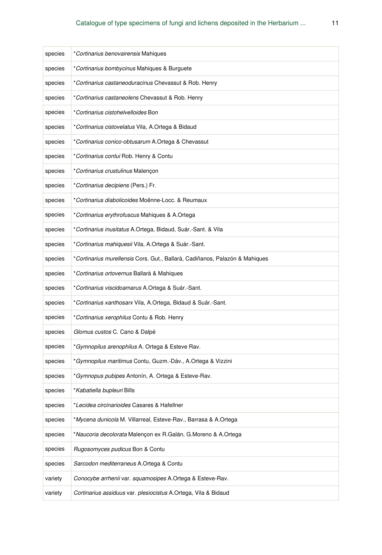| species | *Cortinarius benovairensis Mahiques                                         |
|---------|-----------------------------------------------------------------------------|
| species | *Cortinarius bombycinus Mahiques & Burguete                                 |
| species | *Cortinarius castaneoduracinus Chevassut & Rob. Henry                       |
| species | *Cortinarius castaneolens Chevassut & Rob. Henry                            |
| species | *Cortinarius cistohelvelloides Bon                                          |
| species | *Cortinarius cistovelatus Vila, A.Ortega & Bidaud                           |
| species | *Cortinarius conico-obtusarum A.Ortega & Chevassut                          |
| species | *Cortinarius contui Rob. Henry & Contu                                      |
| species | *Cortinarius crustulinus Malençon                                           |
| species | *Cortinarius decipiens (Pers.) Fr.                                          |
| species | *Cortinarius diabolicoides Moënne-Locc. & Reumaux                           |
| species | *Cortinarius erythrofuscus Mahiques & A.Ortega                              |
| species | *Cortinarius inusitatus A.Ortega, Bidaud, Suár.-Sant. & Vila                |
| species | * <i>Cortinarius mahiquesii</i> Vila, A.Ortega & Suár.-Sant.                |
| species | *Cortinarius murellensis Cors. Gut., Ballarà, Cadiñanos, Palazón & Mahiques |
| species | *Cortinarius ortovernus Ballarà & Mahiques                                  |
| species | *Cortinarius viscidoamarus A.Ortega & Suár.-Sant.                           |
| species | *Cortinarius xanthosarx Vila, A.Ortega, Bidaud & Suár.-Sant.                |
| species | *Cortinarius xerophilus Contu & Rob. Henry                                  |
| species | Glomus custos C. Cano & Dalpé                                               |
| species | *Gymnopilus arenophilus A. Ortega & Esteve Rav.                             |
| species | *Gymnopilus maritimus Contu, Guzm.-Dáv., A.Ortega & Vizzini                 |
| species | *Gymnopus pubipes Antonín, A. Ortega & Esteve-Rav.                          |
| species | *Kabatiella bupleuri Bills                                                  |
| species | *Lecidea circinarioides Casares & Hafellner                                 |
| species | *Mycena dunicola M. Villarreal, Esteve-Rav., Barrasa & A.Ortega             |
| species | *Naucoria decolorata Malençon ex R.Galán, G.Moreno & A.Ortega               |
| species | Rugosomyces pudicus Bon & Contu                                             |
| species | Sarcodon mediterraneus A.Ortega & Contu                                     |
| variety | Conocybe arrhenii var. squamosipes A.Ortega & Esteve-Rav.                   |
| variety | Cortinarius assiduus var. plesiocistus A.Ortega, Vila & Bidaud              |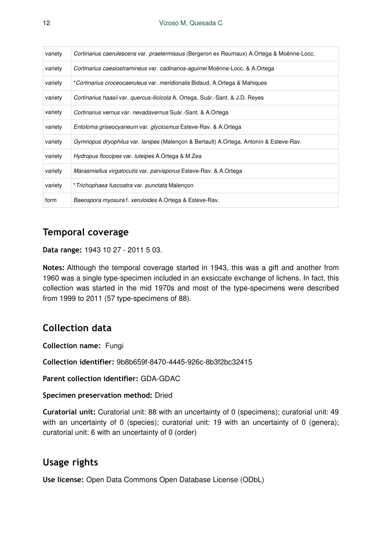#### 12 Vizoso M, Quesada C

| variety | Cortinarius caerulescens var. praetermissus (Bergeron ex Reumaux) A.Ortega & Moënne-Locc. |
|---------|-------------------------------------------------------------------------------------------|
| variety | Cortinarius caesiostramineus var. cadinanos-aguirrei Moënne-Locc. & A.Ortega              |
| variety | *Cortinarius croceocaeruleus var. meridionalis Bidaud, A.Ortega & Mahiques                |
| variety | Cortinarius haasii var. quercus-ilicicola A. Ortega, Suár.-Sant. & J.D. Reves             |
| variety | Cortinarius vernus var. nevadavernus Suár.-Sant. & A.Ortega                               |
| variety | Entoloma griseocyaneum var. glyciosmus Esteve-Rav. & A.Ortega                             |
| variety | Gymnopus dryophilus var. lanipes (Malencon & Bertault) A.Ortega, Antonín & Esteve-Rav.    |
| variety | Hydropus floccipes var. luteipes A.Ortega & M.Zea                                         |
| variety | Marasmiellus virgatocutis var. parvisporus Esteve-Rav. & A.Ortega                         |
| variety | *Trichophaea fuscoatra var. punctata Malencon                                             |
| form    | Baeospora myosura f. xeruloides A.Ortega & Esteve-Rav.                                    |

## **Temporal coverage**

**Data range:** 1943 10 27 - 2011 5 03.

**Notes:** Although the temporal coverage started in 1943, this was a gift and another from 1960 was a single type-specimen included in an exsiccate exchange of lichens. In fact, this collection was started in the mid 1970s and most of the type-specimens were described from 1999 to 2011 (57 type-specimens of 88).

## **Collection data**

**Collection name:** Fungi

**Collection identifier:** 9b8b659f-8470-4445-926c-8b3f2bc32415

#### **Parent collection identifier:** GDA-GDAC

#### **Specimen preservation method:** Dried

**Curatorial unit:** Curatorial unit: 88 with an uncertainty of 0 (specimens); curatorial unit: 49 with an uncertainty of 0 (species); curatorial unit: 19 with an uncertainty of 0 (genera); curatorial unit: 6 with an uncertainty of 0 (order)

## **Usage rights**

**Use license:** Оpen Data Commons Open Database License (ODbL)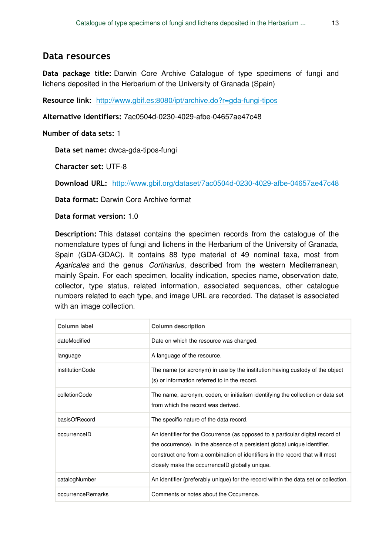### **Data resources**

**Data package title:** Darwin Core Archive Catalogue of type specimens of fungi and lichens deposited in the Herbarium of the University of Granada (Spain)

**Resource link:** <http://www.gbif.es:8080/ipt/archive.do?r=gda-fungi-tipos>

**Alternative identifiers:** 7ac0504d-0230-4029-afbe-04657ae47c48

#### **Number of data sets:** 1

**Data set name:** dwca-gda-tipos-fungi

**Character set:** UTF-8

**Download URL:** <http://www.gbif.org/dataset/7ac0504d-0230-4029-afbe-04657ae47c48>

**Data format:** Darwin Core Archive format

**Data format version:** 1.0

**Description:** This dataset contains the specimen records from the catalogue of the nomenclature types of fungi and lichens in the Herbarium of the University of Granada, Spain (GDA-GDAC). It contains 88 type material of 49 nominal taxa, most from *Agaricales* and the genus *Cortinarius*, described from the western Mediterranean, mainly Spain. For each specimen, locality indication, species name, observation date, collector, type status, related information, associated sequences, other catalogue numbers related to each type, and image URL are recorded. The dataset is associated with an image collection.

| Column label      | <b>Column description</b>                                                                                                                                                                                                                                                                     |
|-------------------|-----------------------------------------------------------------------------------------------------------------------------------------------------------------------------------------------------------------------------------------------------------------------------------------------|
| dateModified      | Date on which the resource was changed.                                                                                                                                                                                                                                                       |
| language          | A language of the resource.                                                                                                                                                                                                                                                                   |
| institutionCode   | The name (or acronym) in use by the institution having custody of the object<br>(s) or information referred to in the record.                                                                                                                                                                 |
| colletionCode     | The name, acronym, coden, or initialism identifying the collection or data set<br>from which the record was derived.                                                                                                                                                                          |
| basisOfRecord     | The specific nature of the data record.                                                                                                                                                                                                                                                       |
| occurrenceID      | An identifier for the Occurrence (as opposed to a particular digital record of<br>the occurrence). In the absence of a persistent global unique identifier,<br>construct one from a combination of identifiers in the record that will most<br>closely make the occurrenceID globally unique. |
| catalogNumber     | An identifier (preferably unique) for the record within the data set or collection.                                                                                                                                                                                                           |
| occurrenceRemarks | Comments or notes about the Occurrence.                                                                                                                                                                                                                                                       |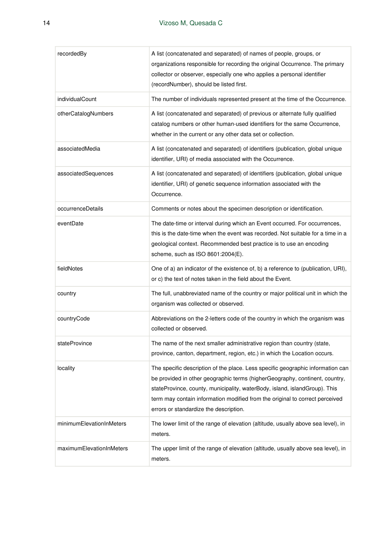| recordedBy               | A list (concatenated and separated) of names of people, groups, or<br>organizations responsible for recording the original Occurrence. The primary<br>collector or observer, especially one who applies a personal identifier<br>(recordNumber), should be listed first.                                                                                                |
|--------------------------|-------------------------------------------------------------------------------------------------------------------------------------------------------------------------------------------------------------------------------------------------------------------------------------------------------------------------------------------------------------------------|
| individualCount          | The number of individuals represented present at the time of the Occurrence.                                                                                                                                                                                                                                                                                            |
| otherCatalogNumbers      | A list (concatenated and separated) of previous or alternate fully qualified<br>catalog numbers or other human-used identifiers for the same Occurrence,<br>whether in the current or any other data set or collection.                                                                                                                                                 |
| associatedMedia          | A list (concatenated and separated) of identifiers (publication, global unique<br>identifier, URI) of media associated with the Occurrence.                                                                                                                                                                                                                             |
| associatedSequences      | A list (concatenated and separated) of identifiers (publication, global unique<br>identifier, URI) of genetic sequence information associated with the<br>Occurrence.                                                                                                                                                                                                   |
| occurrenceDetails        | Comments or notes about the specimen description or identification.                                                                                                                                                                                                                                                                                                     |
| eventDate                | The date-time or interval during which an Event occurred. For occurrences,<br>this is the date-time when the event was recorded. Not suitable for a time in a<br>geological context. Recommended best practice is to use an encoding<br>scheme, such as ISO 8601:2004(E).                                                                                               |
| fieldNotes               | One of a) an indicator of the existence of, b) a reference to (publication, URI),<br>or c) the text of notes taken in the field about the Event.                                                                                                                                                                                                                        |
| country                  | The full, unabbreviated name of the country or major political unit in which the<br>organism was collected or observed.                                                                                                                                                                                                                                                 |
| countryCode              | Abbreviations on the 2-letters code of the country in which the organism was<br>collected or observed.                                                                                                                                                                                                                                                                  |
| stateProvince            | The name of the next smaller administrative region than country (state,<br>province, canton, department, region, etc.) in which the Location occurs.                                                                                                                                                                                                                    |
| locality                 | The specific description of the place. Less specific geographic information can<br>be provided in other geographic terms (higher Geography, continent, country,<br>stateProvince, county, municipality, waterBody, island, islandGroup). This<br>term may contain information modified from the original to correct perceived<br>errors or standardize the description. |
| minimumElevationInMeters | The lower limit of the range of elevation (altitude, usually above sea level), in<br>meters.                                                                                                                                                                                                                                                                            |
| maximumElevationInMeters | The upper limit of the range of elevation (altitude, usually above sea level), in<br>meters.                                                                                                                                                                                                                                                                            |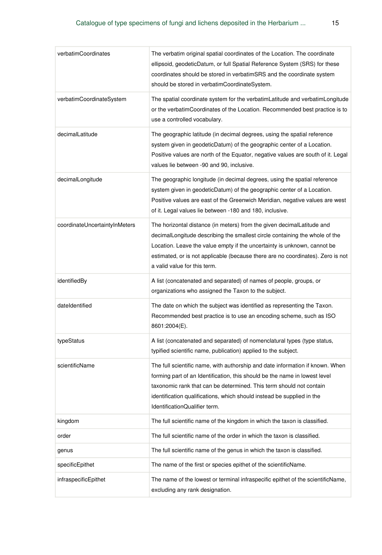| verbatimCoordinates           | The verbatim original spatial coordinates of the Location. The coordinate<br>ellipsoid, geodeticDatum, or full Spatial Reference System (SRS) for these<br>coordinates should be stored in verbatimSRS and the coordinate system<br>should be stored in verbatimCoordinateSystem.                                                                    |
|-------------------------------|------------------------------------------------------------------------------------------------------------------------------------------------------------------------------------------------------------------------------------------------------------------------------------------------------------------------------------------------------|
| verbatimCoordinateSystem      | The spatial coordinate system for the verbatimLatitude and verbatimLongitude<br>or the verbatimCoordinates of the Location. Recommended best practice is to<br>use a controlled vocabulary.                                                                                                                                                          |
| decimalLatitude               | The geographic latitude (in decimal degrees, using the spatial reference<br>system given in geodeticDatum) of the geographic center of a Location.<br>Positive values are north of the Equator, negative values are south of it. Legal<br>values lie between -90 and 90, inclusive.                                                                  |
| decimalLongitude              | The geographic longitude (in decimal degrees, using the spatial reference<br>system given in geodeticDatum) of the geographic center of a Location.<br>Positive values are east of the Greenwich Meridian, negative values are west<br>of it. Legal values lie between -180 and 180, inclusive.                                                      |
| coordinateUncertaintyInMeters | The horizontal distance (in meters) from the given decimalLatitude and<br>decimalLongitude describing the smallest circle containing the whole of the<br>Location. Leave the value empty if the uncertainty is unknown, cannot be<br>estimated, or is not applicable (because there are no coordinates). Zero is not<br>a valid value for this term. |
| identifiedBy                  | A list (concatenated and separated) of names of people, groups, or<br>organizations who assigned the Taxon to the subject.                                                                                                                                                                                                                           |
| dateIdentified                | The date on which the subject was identified as representing the Taxon.<br>Recommended best practice is to use an encoding scheme, such as ISO<br>8601:2004(E).                                                                                                                                                                                      |
| typeStatus                    | A list (concatenated and separated) of nomenclatural types (type status,<br>typified scientific name, publication) applied to the subject.                                                                                                                                                                                                           |
| scientificName                | The full scientific name, with authorship and date information if known. When<br>forming part of an Identification, this should be the name in lowest level<br>taxonomic rank that can be determined. This term should not contain<br>identification qualifications, which should instead be supplied in the<br>IdentificationQualifier term.        |
| kingdom                       | The full scientific name of the kingdom in which the taxon is classified.                                                                                                                                                                                                                                                                            |
| order                         | The full scientific name of the order in which the taxon is classified.                                                                                                                                                                                                                                                                              |
| genus                         | The full scientific name of the genus in which the taxon is classified.                                                                                                                                                                                                                                                                              |
| specificEpithet               | The name of the first or species epithet of the scientificName.                                                                                                                                                                                                                                                                                      |
| infraspecificEpithet          | The name of the lowest or terminal infraspecific epithet of the scientificName,<br>excluding any rank designation.                                                                                                                                                                                                                                   |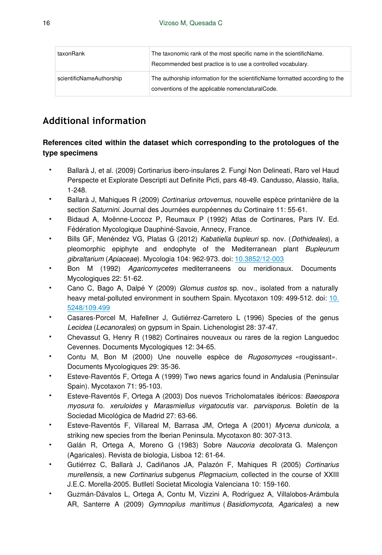| taxonRank                | The taxonomic rank of the most specific name in the scientificName.<br>Recommended best practice is to use a controlled vocabulary. |
|--------------------------|-------------------------------------------------------------------------------------------------------------------------------------|
| scientificNameAuthorship | The authorship information for the scientificName formatted according to the<br>conventions of the applicable nomenclaturalCode.    |

## **Additional information**

#### **References cited within the dataset which corresponding to the protologues of the type specimens**

- Ballarà J, et al. (2009) Cortinarius ibero-insulares 2. Fungi Non Delineati, Raro vel Haud Perspecte et Explorate Descripti aut Definite Picti, pars 48-49. Candusso, Alassio, Italia, 1-248.
- Ballarà J, Mahiques R (2009) *Cortinarius ortovernus*, nouvelle espèce printanière de la section *Saturnini*. Journal des Journées européennes du Cortinaire 11: 55-61.
- Bidaud A, Moënne-Loccoz P, Reumaux P (1992) Atlas de Cortinares, Pars IV. Ed. Fédération Mycologique Dauphiné-Savoie, Annecy, France.
- Bills GF, Menéndez VG, Platas G (2012) *Kabatiella bupleuri* sp. nov. (*Dothideales*), a pleomorphic epiphyte and endophyte of the Mediterranean plant *Bupleurum gibraltarium* (*Apiaceae*). Mycologia 104: 962-973. doi: [10.3852/12-003](http://dx.doi.org/10.3852/12-003)
- Bon M (1992) *Agaricomycetes* mediterraneens ou meridionaux. Documents Mycologiques 22: 51-62.
- Cano C, Bago A, Dalpé Y (2009) *Glomus custos* sp. nov., isolated from a naturally heavy metal-polluted environment in southern Spain. Mycotaxon 109: 499-512. doi: [10.](http://dx.doi.org/10.5248/109.499) [5248/109.499](http://dx.doi.org/10.5248/109.499)
- Casares-Porcel M, Hafellner J, Gutiérrez-Carretero L (1996) Species of the genus *Lecidea* (*Lecanorales*) on gypsum in Spain. Lichenologist 28: 37-47.
- Chevassut G, Henry R (1982) Cortinaires nouveaux ou rares de la region Languedoc Cevennes. Documents Mycologiques 12: 34-65.
- Contu M, Bon M (2000) Une nouvelle espèce de *Rugosomyces* «rougissant». Documents Mycologiques 29: 35-36.
- Esteve-Raventós F, Ortega A (1999) Two news agarics found in Andalusia (Peninsular Spain). Mycotaxon 71: 95-103.
- Esteve-Raventós F, Ortega A (2003) Dos nuevos Tricholomatales ibéricos: *Baeospora myosura* fo. *xeruloides* y *Marasmiellus virgatocutis* var. *parvisporus*. Boletín de la Sociedad Micológica de Madrid 27: 63-66.
- Esteve-Raventós F, Villareal M, Barrasa JM, Ortega A (2001) *Mycena dunicola*, a striking new species from the Iberian Peninsula. Mycotaxon 80: 307-313.
- Galán R, Ortega A, Moreno G (1983) Sobre *Naucoria decolorata* G. Malençon (Agaricales). Revista de biologia, Lisboa 12: 61-64.
- Gutiérrez C, Ballarà J, Cadiñanos JA, Palazón F, Mahiques R (2005) *Cortinarius murellensis*, a new *Cortinarius* subgenus *Plegmacium*, collected in the course of XXIII J.E.C. Morella-2005. Butlletí Societat Micologia Valenciana 10: 159-160.
- Guzmán-Dávalos L, Ortega A, Contu M, Vizzini A, Rodríguez A, Villalobos-Arámbula AR, Santerre A (2009) *Gymnopilus maritimus* ( *Basidiomycota*, *Agaricales*) a new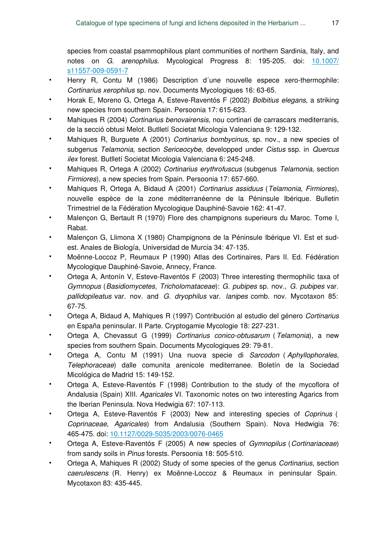species from coastal psammophilous plant communities of northern Sardinia, Italy, and notes on *G. arenophilus*. Mycological Progress 8: 195-205. doi: [10.1007/](http://dx.doi.org/10.1007/s11557-009-0591-7) [s11557-009-0591-7](http://dx.doi.org/10.1007/s11557-009-0591-7)

- Henry R, Contu M (1986) Description d´une nouvelle espece xero-thermophile: *Cortinarius xerophilus* sp. nov. Documents Mycologiques 16: 63-65.
- Horak E, Moreno G, Ortega A, Esteve-Raventós F (2002) *Bolbitius elegans*, a striking new species from southern Spain. Persoonia 17: 615-623.
- Mahiques R (2004) *Cortinarius benovairensis*, nou cortinari de carrascars mediterranis, de la secció obtusi Melot. Butlletí Societat Micologia Valenciana 9: 129-132.
- Mahiques R, Burguete A (2001) *Cortinarius bombycinus*, sp. nov., a new species of subgenus *Telamonia*, section *Sericeocybe*, developped under *Cistus* ssp. in *Quercus ilex* forest. Butlletí Societat Micologia Valenciana 6: 245-248.
- Mahiques R, Ortega A (2002) *Cortinarius erythrofuscus* (subgenus *Telamonia*, section *Firmiores*), a new species from Spain. Persoonia 17: 657-660.
- Mahiques R, Ortega A, Bidaud A (2001) *Cortinarius assiduus* (*Telamonia*, *Firmiores*), nouvelle espèce de la zone méditerranéenne de la Péninsule Ibérique. Bulletin Trimestriel de la Fédération Mycologique Dauphiné-Savoie 162: 41-47.
- Malençon G, Bertault R (1970) Flore des champignons superieurs du Maroc. Tome I, Rabat.
- Malençon G, Llimona X (1980) Champignons de la Péninsule Ibérique VI. Est et sudest. Anales de Biología, Universidad de Murcia 34: 47-135.
- Moënne-Loccoz P, Reumaux P (1990) Atlas des Cortinaires, Pars II. Ed. Fédération Mycologique Dauphiné-Savoie, Annecy, France.
- Ortega A, Antonín V, Esteve-Raventós F (2003) Three interesting thermophilic taxa of *Gymnopus* (*Basidiomycetes*, *Tricholomataceae*): *G. pubipes* sp. nov., *G. pubipes* var. *pallidopileatus* var. nov. and *G. dryophilus* var. *lanipes* comb. nov. Mycotaxon 85: 67-75.
- Ortega A, Bidaud A, Mahiques R (1997) Contribución al estudio del género *Cortinarius* en España peninsular. II Parte. Cryptogamie Mycologie 18: 227-231.
- Ortega A, Chevassut G (1999) *Cortinarius conico-obtusarum* ( *Telamonia*), a new species from southern Spain. Documents Mycologiques 29: 79-81.
- Ortega A, Contu M (1991) Una nuova specie di *Sarcodon* ( *Aphyllophorales*, *Telephoraceae*) dalle comunita arenicole mediterranee. Boletín de la Sociedad Micológica de Madrid 15: 149-152.
- Ortega A, Esteve-Raventós F (1998) Contribution to the study of the mycoflora of Andalusia (Spain) XIII. *Agaricales* VI. Taxonomic notes on two interesting Agarics from the Iberian Peninsula. Nova Hedwigia 67: 107-113.
- Ortega A, Esteve-Raventós F (2003) New and interesting species of *Coprinus* ( *Coprinaceae*, *Agaricales*) from Andalusia (Southern Spain). Nova Hedwigia 76: 465-475. doi: [10.1127/0029-5035/2003/0076-0465](http://dx.doi.org/10.1127/0029-5035/2003/0076-0465)
- Ortega A, Esteve-Raventós F (2005) A new species of *Gymnopilus* (*Cortinariaceae*) from sandy soils in *Pinus* forests. Persoonia 18: 505-510.
- Ortega A, Mahiques R (2002) Study of some species of the genus *Cortinarius*, section *caerulescens* (R. Henry) ex Moënne-Loccoz & Reumaux in peninsular Spain. Mycotaxon 83: 435-445.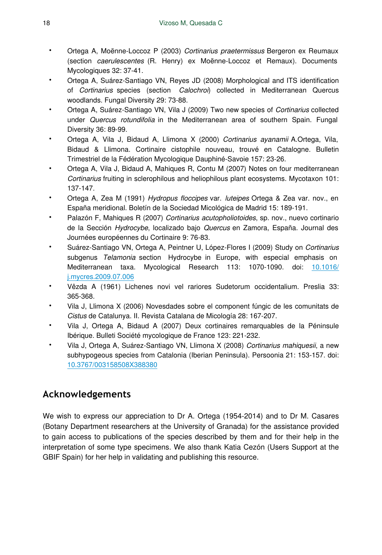- Ortega A, Moënne-Loccoz P (2003) *Cortinarius praetermissus* Bergeron ex Reumaux (section *caerulescentes* (R. Henry) ex Moënne-Loccoz et Remaux). Documents Mycologiques 32: 37-41.
- Ortega A, Suárez-Santiago VN, Reyes JD (2008) Morphological and ITS identification of *Cortinarius* species (section *Calochroi*) collected in Mediterranean Quercus woodlands. Fungal Diversity 29: 73-88.
- Ortega A, Suárez-Santiago VN, Vila J (2009) Two new species of *Cortinarius* collected under *Quercus rotundifolia* in the Mediterranean area of southern Spain. Fungal Diversity 36: 89-99.
- Ortega A, Vila J, Bidaud A, Llimona X (2000) *Cortinarius ayanamii* A.Ortega, Vila, Bidaud & Llimona. Cortinaire cistophile nouveau, trouvé en Catalogne. Bulletin Trimestriel de la Fédération Mycologique Dauphiné-Savoie 157: 23-26.
- Ortega A, Vila J, Bidaud A, Mahiques R, Contu M (2007) Notes on four mediterranean *Cortinarius* fruiting in sclerophilous and heliophilous plant ecosystems. Mycotaxon 101: 137-147.
- Ortega A, Zea M (1991) *Hydropus floccipes* var. *luteipes* Ortega & Zea var. nov., en España meridional. Boletín de la Sociedad Micológica de Madrid 15: 189-191.
- Palazón F, Mahiques R (2007) *Cortinarius acutopholiotoides*, sp. nov., nuevo cortinario de la Sección *Hydrocybe*, localizado bajo *Quercus* en Zamora, España. Journal des Journées européennes du Cortinaire 9: 76-83.
- Suárez-Santiago VN, Ortega A, Peintner U, López-Flores I (2009) Study on *Cortinarius* subgenus *Telamonia* section Hydrocybe in Europe, with especial emphasis on Mediterranean taxa. Mycological Research 113: 1070-1090. doi: [10.1016/](http://dx.doi.org/10.1016/j.mycres.2009.07.006) [j.mycres.2009.07.006](http://dx.doi.org/10.1016/j.mycres.2009.07.006)
- Vêzda A (1961) Lichenes novi vel rariores Sudetorum occidentalium. Preslia 33: 365-368.
- Vila J, Llimona X (2006) Novesdades sobre el component fúngic de les comunitats de *Cistus* de Catalunya. II. Revista Catalana de Micología 28: 167-207.
- Vila J, Ortega A, Bidaud A (2007) Deux cortinaires remarquables de la Péninsule Ibérique. Bulleti Société mycologique de France 123: 221-232.
- Vila J, Ortega A, Suárez-Santiago VN, Llimona X (2008) *Cortinarius mahiquesii*, a new subhypogeous species from Catalonia (Iberian Peninsula). Persoonia 21: 153-157. doi: [10.3767/003158508X388380](http://dx.doi.org/10.3767/003158508X388380)

## **Acknowledgements**

We wish to express our appreciation to Dr A. Ortega (1954-2014) and to Dr M. Casares (Botany Department researchers at the University of Granada) for the assistance provided to gain access to publications of the species described by them and for their help in the interpretation of some type specimens. We also thank Katia Cezón (Users Support at the GBIF Spain) for her help in validating and publishing this resource.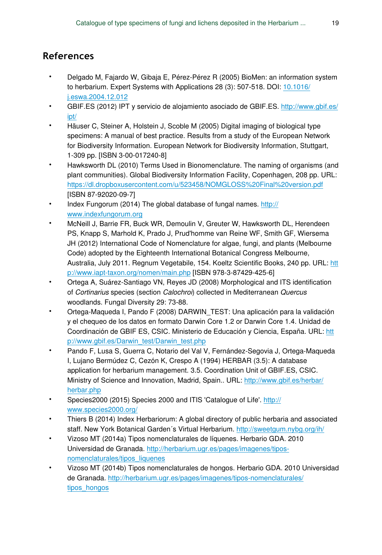## **References**

- Delgado M, Fajardo W, Gibaja E, Pérez-Pérez R (2005) BioMen: an information system to herbarium. Expert Systems with Applications 28 (3): 507-518. DOI: [10.1016/](http://dx.doi.org/10.1016/j.eswa.2004.12.012) [j.eswa.2004.12.012](http://dx.doi.org/10.1016/j.eswa.2004.12.012)
- GBIF.ES (2012) IPT y servicio de alojamiento asociado de GBIF.ES. [http://www.gbif.es/](http://www.gbif.es/ipt/) [ipt/](http://www.gbif.es/ipt/)
- Häuser C, Steiner A, Holstein J, Scoble M (2005) Digital imaging of biological type specimens: A manual of best practice. Results from a study of the European Network for Biodiversity Information. European Network for Biodiversity Information, Stuttgart, 1-309 pp. [ISBN 3-00-017240-8]
- Hawksworth DL (2010) Terms Used in Bionomenclature. The naming of organisms (and plant communities). Global Biodiversity Information Facility, Copenhagen, 208 pp. URL: <https://dl.dropboxusercontent.com/u/523458/NOMGLOSS%20Final%20version.pdf> [ISBN 87-92020-09-7]
- Index Fungorum (2014) The global database of fungal names. [http://](http://www.indexfungorum.org) [www.indexfungorum.org](http://www.indexfungorum.org)
- McNeill J, Barrie FR, Buck WR, Demoulin V, Greuter W, Hawksworth DL, Herendeen PS, Knapp S, Marhold K, Prado J, Prud'homme van Reine WF, Smith GF, Wiersema JH (2012) International Code of Nomenclature for algae, fungi, and plants (Melbourne Code) adopted by the Eighteenth International Botanical Congress Melbourne, Australia, July 2011. Regnum Vegetabile, 154. Koeltz Scientific Books, 240 pp. URL: [htt](http://www.iapt-taxon.org/nomen/main.php) [p://www.iapt-taxon.org/nomen/main.php](http://www.iapt-taxon.org/nomen/main.php) [ISBN 978-3-87429-425-6]
- Ortega A, Suárez-Santiago VN, Reyes JD (2008) Morphological and ITS identification of *Cortinarius* species (section *Calochroi*) collected in Mediterranean *Quercus* woodlands. Fungal Diversity 29: 73‑88.
- Ortega-Maqueda I, Pando F (2008) DARWIN\_TEST: Una aplicación para la validación y el chequeo de los datos en formato Darwin Core 1.2 or Darwin Core 1.4. Unidad de Coordinación de GBIF ES, CSIC. Ministerio de Educación y Ciencia, España. URL: [htt](http://www.gbif.es/Darwin_test/Darwin_test.php) [p://www.gbif.es/Darwin\\_test/Darwin\\_test.php](http://www.gbif.es/Darwin_test/Darwin_test.php)
- Pando F, Lusa S, Guerra C, Notario del Val V, Fernández-Segovia J, Ortega-Maqueda I, Lujano Bermúdez C, Cezón K, Crespo A (1994) HERBAR (3.5): A database application for herbarium management. 3.5. Coordination Unit of GBIF.ES, CSIC. Ministry of Science and Innovation, Madrid, Spain.. URL: [http://www.gbif.es/herbar/](http://www.gbif.es/herbar/herbar.php) [herbar.php](http://www.gbif.es/herbar/herbar.php)
- Species2000 (2015) Species 2000 and ITIS 'Catalogue of Life'. [http://](http://www.species2000.org/) [www.species2000.org/](http://www.species2000.org/)
- Thiers B (2014) Index Herbariorum: A global directory of public herbaria and associated staff. New York Botanical Garden's Virtual Herbarium. <http://sweetgum.nybg.org/ih/>
- Vizoso MT (2014a) Tipos nomenclaturales de líquenes. Herbario GDA. 2010 Universidad de Granada. [http://herbarium.ugr.es/pages/imagenes/tipos](http://herbarium.ugr.es/pages/imagenes/tipos-nomenclaturales/tipos_liquenes)[nomenclaturales/tipos\\_liquenes](http://herbarium.ugr.es/pages/imagenes/tipos-nomenclaturales/tipos_liquenes)
- Vizoso MT (2014b) Tipos nomenclaturales de hongos. Herbario GDA. 2010 Universidad de Granada. [http://herbarium.ugr.es/pages/imagenes/tipos-nomenclaturales/](http://herbarium.ugr.es/pages/imagenes/tipos-nomenclaturales/tipos_hongos) [tipos\\_hongos](http://herbarium.ugr.es/pages/imagenes/tipos-nomenclaturales/tipos_hongos)